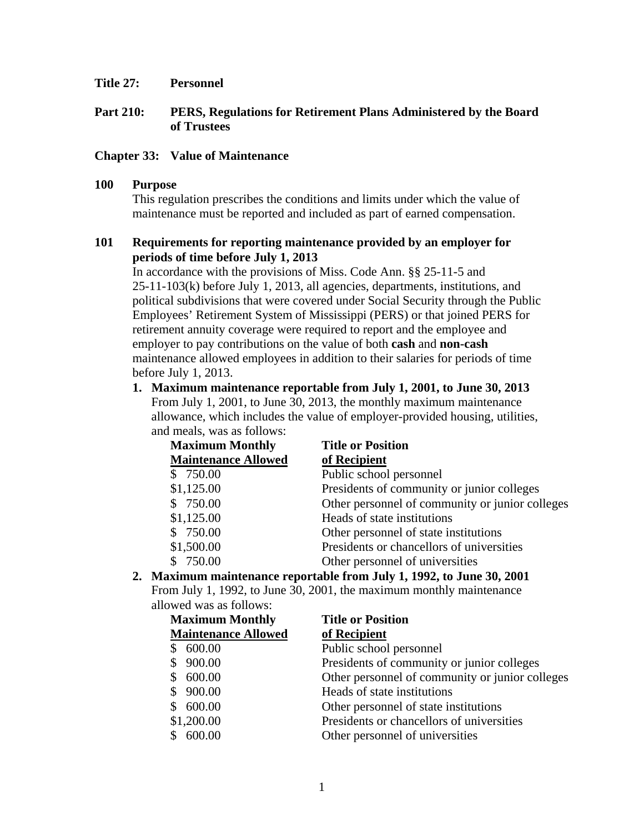**Title 27: Personnel** 

## **Part 210: PERS, Regulations for Retirement Plans Administered by the Board of Trustees**

## **Chapter 33: Value of Maintenance**

### **100 Purpose**

This regulation prescribes the conditions and limits under which the value of maintenance must be reported and included as part of earned compensation.

## **101 Requirements for reporting maintenance provided by an employer for periods of time before July 1, 2013**

In accordance with the provisions of Miss. Code Ann. §§ 25-11-5 and 25-11-103(k) before July 1, 2013, all agencies, departments, institutions, and political subdivisions that were covered under Social Security through the Public Employees' Retirement System of Mississippi (PERS) or that joined PERS for retirement annuity coverage were required to report and the employee and employer to pay contributions on the value of both **cash** and **non-cash** maintenance allowed employees in addition to their salaries for periods of time before July 1, 2013.

**1. Maximum maintenance reportable from July 1, 2001, to June 30, 2013**  From July 1, 2001, to June 30, 2013, the monthly maximum maintenance allowance, which includes the value of employer-provided housing, utilities, and meals, was as follows:

| <b>Maximum Monthly</b>     | <b>Title or Position</b>                        |
|----------------------------|-------------------------------------------------|
| <b>Maintenance Allowed</b> | of Recipient                                    |
| \$750.00                   | Public school personnel                         |
| \$1,125.00                 | Presidents of community or junior colleges      |
| \$750.00                   | Other personnel of community or junior colleges |
| \$1,125.00                 | Heads of state institutions                     |
| \$750.00                   | Other personnel of state institutions           |
| \$1,500.00                 | Presidents or chancellors of universities       |
| \$750.00                   | Other personnel of universities                 |

**2. Maximum maintenance reportable from July 1, 1992, to June 30, 2001** 

From July 1, 1992, to June 30, 2001, the maximum monthly maintenance allowed was as follows:

| <b>Maximum Monthly</b>     | <b>Title or Position</b>                        |
|----------------------------|-------------------------------------------------|
| <b>Maintenance Allowed</b> | of Recipient                                    |
| \$600.00                   | Public school personnel                         |
| 900.00                     | Presidents of community or junior colleges      |
| 600.00                     | Other personnel of community or junior colleges |
| \$900.00                   | Heads of state institutions                     |
| 600.00                     | Other personnel of state institutions           |
| \$1,200.00                 | Presidents or chancellors of universities       |
| \$600.00                   | Other personnel of universities                 |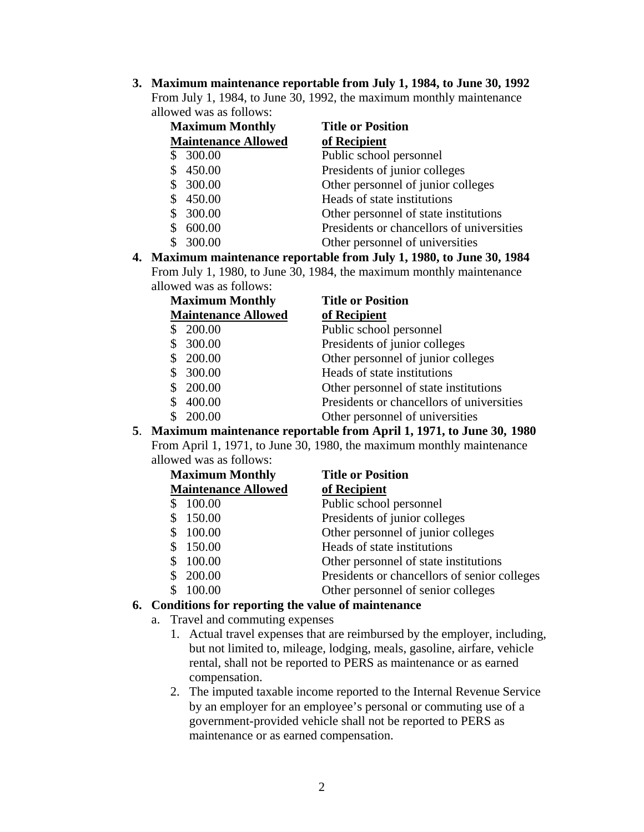**3. Maximum maintenance reportable from July 1, 1984, to June 30, 1992** From July 1, 1984, to June 30, 1992, the maximum monthly maintenance allowed was as follows:

| <b>Maximum Monthly</b>     | <b>Title or Position</b>                  |
|----------------------------|-------------------------------------------|
| <b>Maintenance Allowed</b> | of Recipient                              |
| \$300.00                   | Public school personnel                   |
| \$450.00                   | Presidents of junior colleges             |
| \$300.00                   | Other personnel of junior colleges        |
| \$450.00                   | Heads of state institutions               |
| \$300.00                   | Other personnel of state institutions     |
| 600.00                     | Presidents or chancellors of universities |
| 300.00                     | Other personnel of universities           |

**4. Maximum maintenance reportable from July 1, 1980, to June 30, 1984** From July 1, 1980, to June 30, 1984, the maximum monthly maintenance allowed was as follows:

| <b>Maximum Monthly</b>     | <b>Title or Position</b>                  |
|----------------------------|-------------------------------------------|
| <b>Maintenance Allowed</b> | of Recipient                              |
| 200.00                     | Public school personnel                   |
| 300.00                     | Presidents of junior colleges             |
| \$200.00                   | Other personnel of junior colleges        |
| \$300.00                   | Heads of state institutions               |
| 200.00                     | Other personnel of state institutions     |
| 400.00                     | Presidents or chancellors of universities |
| 200.00                     | Other personnel of universities           |

**5**. **Maximum maintenance reportable from April 1, 1971, to June 30, 1980** From April 1, 1971, to June 30, 1980, the maximum monthly maintenance

| allowed was as follows:    |                                              |
|----------------------------|----------------------------------------------|
| <b>Maximum Monthly</b>     | <b>Title or Position</b>                     |
| <b>Maintenance Allowed</b> | of Recipient                                 |
| 100.00<br>S                | Public school personnel                      |
| 150.00                     | Presidents of junior colleges                |
| 100.00                     | Other personnel of junior colleges           |
| 150.00<br>\$               | Heads of state institutions                  |
| 100.00                     | Other personnel of state institutions        |
| 200.00                     | Presidents or chancellors of senior colleges |
| 100.00                     | Other personnel of senior colleges           |
|                            |                                              |

### **6. Conditions for reporting the value of maintenance**

- a. Travel and commuting expenses
	- 1. Actual travel expenses that are reimbursed by the employer, including, but not limited to, mileage, lodging, meals, gasoline, airfare, vehicle rental, shall not be reported to PERS as maintenance or as earned compensation.
	- 2. The imputed taxable income reported to the Internal Revenue Service by an employer for an employee's personal or commuting use of a government-provided vehicle shall not be reported to PERS as maintenance or as earned compensation.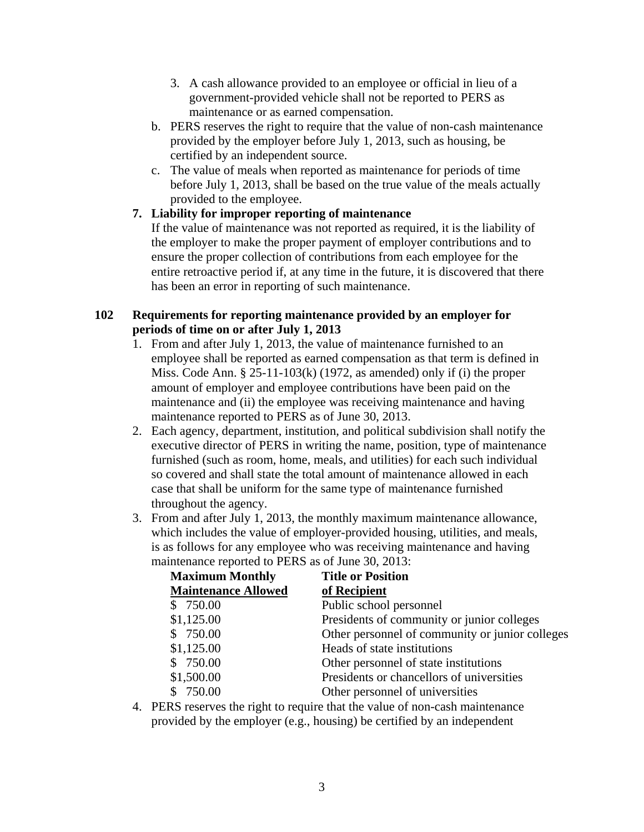- 3. A cash allowance provided to an employee or official in lieu of a government-provided vehicle shall not be reported to PERS as maintenance or as earned compensation.
- b. PERS reserves the right to require that the value of non-cash maintenance provided by the employer before July 1, 2013, such as housing, be certified by an independent source.
- c. The value of meals when reported as maintenance for periods of time before July 1, 2013, shall be based on the true value of the meals actually provided to the employee.

# **7. Liability for improper reporting of maintenance**

If the value of maintenance was not reported as required, it is the liability of the employer to make the proper payment of employer contributions and to ensure the proper collection of contributions from each employee for the entire retroactive period if, at any time in the future, it is discovered that there has been an error in reporting of such maintenance.

# **102 Requirements for reporting maintenance provided by an employer for periods of time on or after July 1, 2013**

- 1. From and after July 1, 2013, the value of maintenance furnished to an employee shall be reported as earned compensation as that term is defined in Miss. Code Ann. § 25-11-103(k) (1972, as amended) only if (i) the proper amount of employer and employee contributions have been paid on the maintenance and (ii) the employee was receiving maintenance and having maintenance reported to PERS as of June 30, 2013.
- 2. Each agency, department, institution, and political subdivision shall notify the executive director of PERS in writing the name, position, type of maintenance furnished (such as room, home, meals, and utilities) for each such individual so covered and shall state the total amount of maintenance allowed in each case that shall be uniform for the same type of maintenance furnished throughout the agency.
- 3. From and after July 1, 2013, the monthly maximum maintenance allowance, which includes the value of employer-provided housing, utilities, and meals, is as follows for any employee who was receiving maintenance and having maintenance reported to PERS as of June 30, 2013:

| <b>Maximum Monthly</b>     | <b>Title or Position</b>                        |
|----------------------------|-------------------------------------------------|
| <b>Maintenance Allowed</b> | of Recipient                                    |
| \$750.00                   | Public school personnel                         |
| \$1,125.00                 | Presidents of community or junior colleges      |
| \$750.00                   | Other personnel of community or junior colleges |
| \$1,125.00                 | Heads of state institutions                     |
| \$750.00                   | Other personnel of state institutions           |
| \$1,500.00                 | Presidents or chancellors of universities       |
| \$750.00                   | Other personnel of universities                 |

4. PERS reserves the right to require that the value of non-cash maintenance provided by the employer (e.g., housing) be certified by an independent